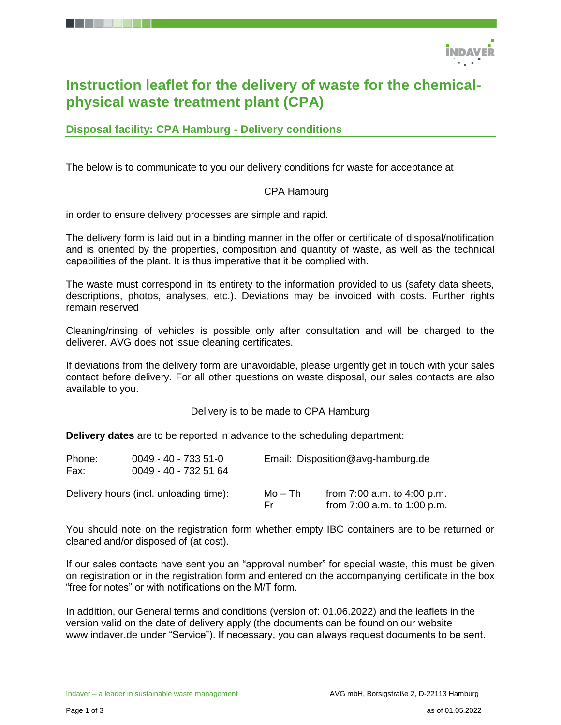

# **Instruction leaflet for the delivery of waste for the chemicalphysical waste treatment plant (CPA)**

# **Disposal facility: CPA Hamburg - Delivery conditions**

The below is to communicate to you our delivery conditions for waste for acceptance at

## CPA Hamburg

in order to ensure delivery processes are simple and rapid.

The delivery form is laid out in a binding manner in the offer or certificate of disposal/notification and is oriented by the properties, composition and quantity of waste, as well as the technical capabilities of the plant. It is thus imperative that it be complied with.

The waste must correspond in its entirety to the information provided to us (safety data sheets, descriptions, photos, analyses, etc.). Deviations may be invoiced with costs. Further rights remain reserved

Cleaning/rinsing of vehicles is possible only after consultation and will be charged to the deliverer. AVG does not issue cleaning certificates.

If deviations from the delivery form are unavoidable, please urgently get in touch with your sales contact before delivery. For all other questions on waste disposal, our sales contacts are also available to you.

Delivery is to be made to CPA Hamburg

**Delivery dates** are to be reported in advance to the scheduling department:

| Phone:<br>Fax: | 0049 - 40 - 733 51-0<br>0049 - 40 - 732 51 64 |                | Email: Disposition@avg-hamburg.de                                  |  |  |
|----------------|-----------------------------------------------|----------------|--------------------------------------------------------------------|--|--|
|                | Delivery hours (incl. unloading time):        | Mo – Th<br>Er. | from $7:00$ a.m. to $4:00$ p.m.<br>from $7:00$ a.m. to $1:00$ p.m. |  |  |

You should note on the registration form whether empty IBC containers are to be returned or cleaned and/or disposed of (at cost).

If our sales contacts have sent you an "approval number" for special waste, this must be given on registration or in the registration form and entered on the accompanying certificate in the box "free for notes" or with notifications on the M/T form.

In addition, our General terms and conditions (version of: 01.06.2022) and the leaflets in the version valid on the date of delivery apply (the documents can be found on our website [www.indaver.de](http://www.indaver.de/) under "Service"). If necessary, you can always request documents to be sent.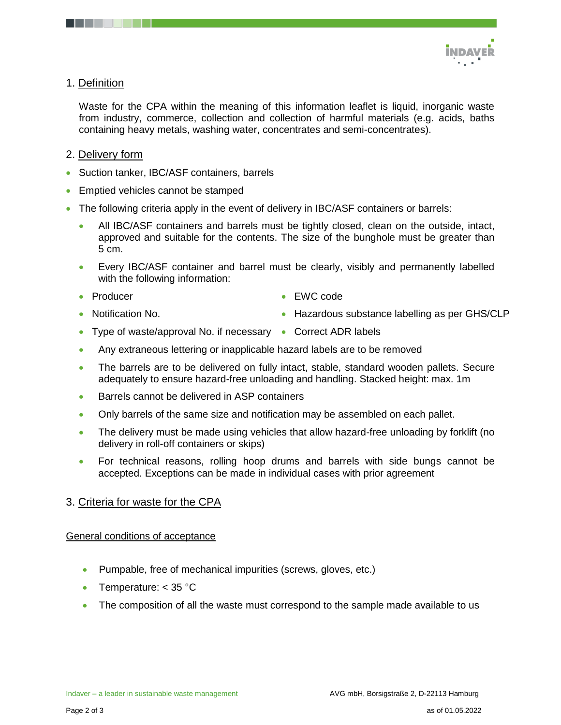

# 1. Definition

Waste for the CPA within the meaning of this information leaflet is liquid, inorganic waste from industry, commerce, collection and collection of harmful materials (e.g. acids, baths containing heavy metals, washing water, concentrates and semi-concentrates).

# 2. Delivery form

- Suction tanker, IBC/ASF containers, barrels
- Emptied vehicles cannot be stamped
- The following criteria apply in the event of delivery in IBC/ASF containers or barrels:
	- All IBC/ASF containers and barrels must be tightly closed, clean on the outside, intact, approved and suitable for the contents. The size of the bunghole must be greater than 5 cm.
	- Every IBC/ASF container and barrel must be clearly, visibly and permanently labelled with the following information:
	- Producer

EWC code

Notification No.

- Hazardous substance labelling as per GHS/CLP
- Type of waste/approval No. if necessary Correct ADR labels
- Any extraneous lettering or inapplicable hazard labels are to be removed
- The barrels are to be delivered on fully intact, stable, standard wooden pallets. Secure adequately to ensure hazard-free unloading and handling. Stacked height: max. 1m
- Barrels cannot be delivered in ASP containers
- Only barrels of the same size and notification may be assembled on each pallet.
- The delivery must be made using vehicles that allow hazard-free unloading by forklift (no delivery in roll-off containers or skips)
- For technical reasons, rolling hoop drums and barrels with side bungs cannot be accepted. Exceptions can be made in individual cases with prior agreement

# 3. Criteria for waste for the CPA

## General conditions of acceptance

- Pumpable, free of mechanical impurities (screws, gloves, etc.)
- Temperature: < 35 °C
- The composition of all the waste must correspond to the sample made available to us